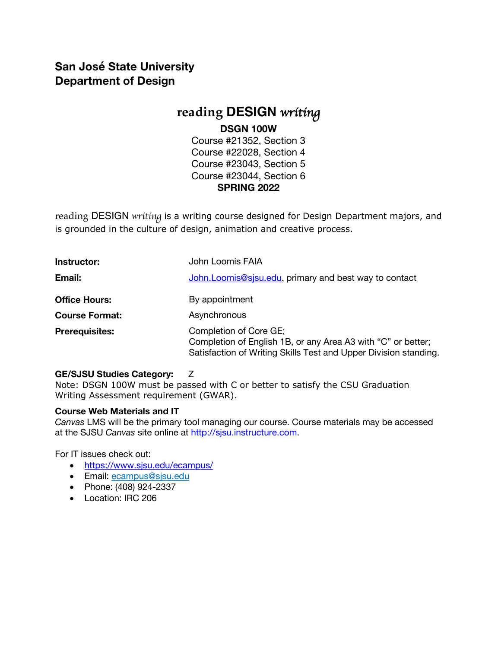# **San José State University Department of Design**

# **reading DESIGN** *writing*

### **DSGN 100W**

Course #21352, Section 3 Course #22028, Section 4 Course #23043, Section 5 Course #23044, Section 6 **SPRING 2022**

reading DESIGN *writing* is a writing course designed for Design Department majors, and is grounded in the culture of design, animation and creative process.

| Instructor:           | John Loomis FAIA                                                                                                                                           |
|-----------------------|------------------------------------------------------------------------------------------------------------------------------------------------------------|
| Email:                | John. Loomis@sjsu.edu, primary and best way to contact                                                                                                     |
| <b>Office Hours:</b>  | By appointment                                                                                                                                             |
| <b>Course Format:</b> | Asynchronous                                                                                                                                               |
| <b>Prerequisites:</b> | Completion of Core GE;<br>Completion of English 1B, or any Area A3 with "C" or better;<br>Satisfaction of Writing Skills Test and Upper Division standing. |

### **GE/SJSU Studies Category:** Z

Note: DSGN 100W must be passed with C or better to satisfy the CSU Graduation Writing Assessment requirement (GWAR).

### **Course Web Materials and IT**

*Canvas* LMS will be the primary tool managing our course. Course materials may be accessed at the SJSU *Canvas* site online at http://sjsu.instructure.com.

For IT issues check out:

- https://www.sjsu.edu/ecampus/
- Email: ecampus@sjsu.edu
- Phone: (408) 924-2337
- Location: IRC 206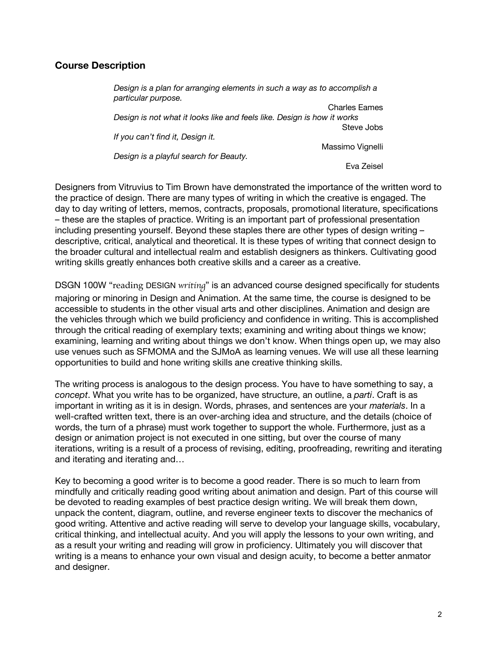### **Course Description**

*Design is a plan for arranging elements in such a way as to accomplish a particular purpose.* Charles Eames *Design is not what it looks like and feels like. Design is how it works* Steve Jobs *If you can't find it, Design it.*  Massimo Vignelli *Design is a playful search for Beauty.*  Eva Zeisel

Designers from Vitruvius to Tim Brown have demonstrated the importance of the written word to the practice of design. There are many types of writing in which the creative is engaged. The day to day writing of letters, memos, contracts, proposals, promotional literature, specifications – these are the staples of practice. Writing is an important part of professional presentation including presenting yourself. Beyond these staples there are other types of design writing – descriptive, critical, analytical and theoretical. It is these types of writing that connect design to the broader cultural and intellectual realm and establish designers as thinkers. Cultivating good writing skills greatly enhances both creative skills and a career as a creative.

DSGN 100W "reading DESIGN *writing*" is an advanced course designed specifically for students majoring or minoring in Design and Animation. At the same time, the course is designed to be accessible to students in the other visual arts and other disciplines. Animation and design are the vehicles through which we build proficiency and confidence in writing. This is accomplished through the critical reading of exemplary texts; examining and writing about things we know; examining, learning and writing about things we don't know. When things open up, we may also use venues such as SFMOMA and the SJMoA as learning venues. We will use all these learning opportunities to build and hone writing skills ane creative thinking skills.

The writing process is analogous to the design process. You have to have something to say, a *concept*. What you write has to be organized, have structure, an outline, a *parti*. Craft is as important in writing as it is in design. Words, phrases, and sentences are your *materials*. In a well-crafted written text, there is an over-arching idea and structure, and the details (choice of words, the turn of a phrase) must work together to support the whole. Furthermore, just as a design or animation project is not executed in one sitting, but over the course of many iterations, writing is a result of a process of revising, editing, proofreading, rewriting and iterating and iterating and iterating and…

Key to becoming a good writer is to become a good reader. There is so much to learn from mindfully and critically reading good writing about animation and design. Part of this course will be devoted to reading examples of best practice design writing. We will break them down, unpack the content, diagram, outline, and reverse engineer texts to discover the mechanics of good writing. Attentive and active reading will serve to develop your language skills, vocabulary, critical thinking, and intellectual acuity. And you will apply the lessons to your own writing, and as a result your writing and reading will grow in proficiency. Ultimately you will discover that writing is a means to enhance your own visual and design acuity, to become a better anmator and designer.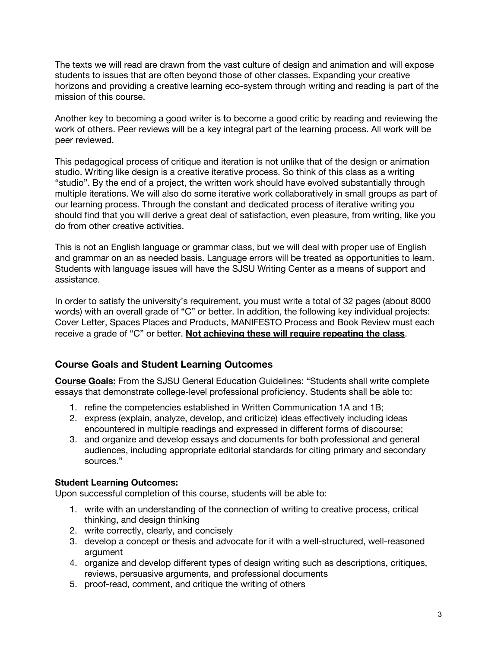The texts we will read are drawn from the vast culture of design and animation and will expose students to issues that are often beyond those of other classes. Expanding your creative horizons and providing a creative learning eco-system through writing and reading is part of the mission of this course.

Another key to becoming a good writer is to become a good critic by reading and reviewing the work of others. Peer reviews will be a key integral part of the learning process. All work will be peer reviewed.

This pedagogical process of critique and iteration is not unlike that of the design or animation studio. Writing like design is a creative iterative process. So think of this class as a writing "studio". By the end of a project, the written work should have evolved substantially through multiple iterations. We will also do some iterative work collaboratively in small groups as part of our learning process. Through the constant and dedicated process of iterative writing you should find that you will derive a great deal of satisfaction, even pleasure, from writing, like you do from other creative activities.

This is not an English language or grammar class, but we will deal with proper use of English and grammar on an as needed basis. Language errors will be treated as opportunities to learn. Students with language issues will have the SJSU Writing Center as a means of support and assistance.

In order to satisfy the university's requirement, you must write a total of 32 pages (about 8000 words) with an overall grade of "C" or better. In addition, the following key individual projects: Cover Letter, Spaces Places and Products, MANIFESTO Process and Book Review must each receive a grade of "C" or better. **Not achieving these will require repeating the class**.

### **Course Goals and Student Learning Outcomes**

**Course Goals:** From the SJSU General Education Guidelines: "Students shall write complete essays that demonstrate college-level professional proficiency. Students shall be able to:

- 1. refine the competencies established in Written Communication 1A and 1B;
- 2. express (explain, analyze, develop, and criticize) ideas effectively including ideas encountered in multiple readings and expressed in different forms of discourse;
- 3. and organize and develop essays and documents for both professional and general audiences, including appropriate editorial standards for citing primary and secondary sources."

### **Student Learning Outcomes:**

Upon successful completion of this course, students will be able to:

- 1. write with an understanding of the connection of writing to creative process, critical thinking, and design thinking
- 2. write correctly, clearly, and concisely
- 3. develop a concept or thesis and advocate for it with a well-structured, well-reasoned argument
- 4. organize and develop different types of design writing such as descriptions, critiques, reviews, persuasive arguments, and professional documents
- 5. proof-read, comment, and critique the writing of others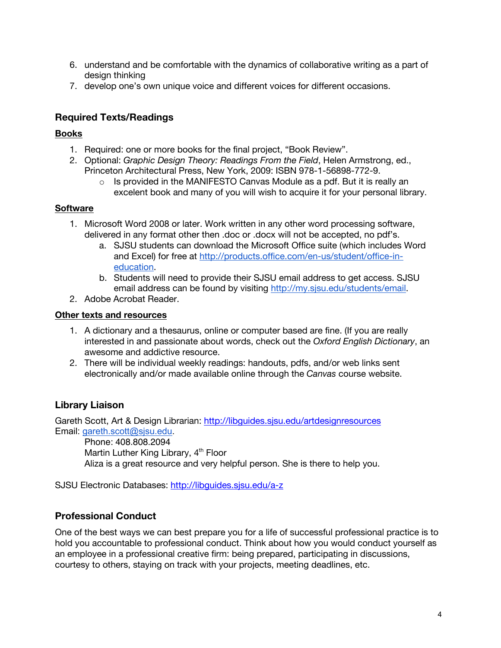- 6. understand and be comfortable with the dynamics of collaborative writing as a part of design thinking
- 7. develop one's own unique voice and different voices for different occasions.

# **Required Texts/Readings**

### **Books**

- 1. Required: one or more books for the final project, "Book Review".
- 2. Optional: *Graphic Design Theory: Readings From the Field*, Helen Armstrong, ed., Princeton Architectural Press, New York, 2009: ISBN 978-1-56898-772-9.
	- $\circ$  Is provided in the MANIFESTO Canvas Module as a pdf. But it is really an excelent book and many of you will wish to acquire it for your personal library.

### **Software**

- 1. Microsoft Word 2008 or later. Work written in any other word processing software, delivered in any format other then .doc or .docx will not be accepted, no pdf's.
	- a. SJSU students can download the Microsoft Office suite (which includes Word and Excel) for free at http://products.office.com/en-us/student/office-ineducation.
	- b. Students will need to provide their SJSU email address to get access. SJSU email address can be found by visiting http://my.sjsu.edu/students/email.
- 2. Adobe Acrobat Reader.

### **Other texts and resources**

- 1. A dictionary and a thesaurus, online or computer based are fine. (If you are really interested in and passionate about words, check out the *Oxford English Dictionary*, an awesome and addictive resource.
- 2. There will be individual weekly readings: handouts, pdfs, and/or web links sent electronically and/or made available online through the *Canvas* course website.

# **Library Liaison**

Gareth Scott, Art & Design Librarian: http://libguides.sjsu.edu/artdesignresources Email: gareth.scott@sjsu.edu.

Phone: 408.808.2094 Martin Luther King Library, 4<sup>th</sup> Floor Aliza is a great resource and very helpful person. She is there to help you.

SJSU Electronic Databases: http://libguides.sjsu.edu/a-z

# **Professional Conduct**

One of the best ways we can best prepare you for a life of successful professional practice is to hold you accountable to professional conduct. Think about how you would conduct yourself as an employee in a professional creative firm: being prepared, participating in discussions, courtesy to others, staying on track with your projects, meeting deadlines, etc.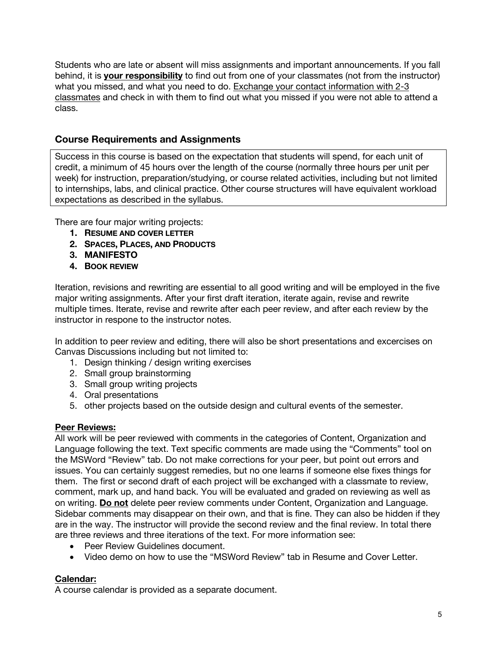Students who are late or absent will miss assignments and important announcements. If you fall behind, it is **your responsibility** to find out from one of your classmates (not from the instructor) what you missed, and what you need to do. Exchange your contact information with 2-3 classmates and check in with them to find out what you missed if you were not able to attend a class.

## **Course Requirements and Assignments**

Success in this course is based on the expectation that students will spend, for each unit of credit, a minimum of 45 hours over the length of the course (normally three hours per unit per week) for instruction, preparation/studying, or course related activities, including but not limited to internships, labs, and clinical practice. Other course structures will have equivalent workload expectations as described in the syllabus.

There are four major writing projects:

- **1. RESUME AND COVER LETTER**
- **2. SPACES, PLACES, AND PRODUCTS**
- **3. MANIFESTO**
- **4. BOOK REVIEW**

Iteration, revisions and rewriting are essential to all good writing and will be employed in the five major writing assignments. After your first draft iteration, iterate again, revise and rewrite multiple times. Iterate, revise and rewrite after each peer review, and after each review by the instructor in respone to the instructor notes.

In addition to peer review and editing, there will also be short presentations and excercises on Canvas Discussions including but not limited to:

- 1. Design thinking / design writing exercises
- 2. Small group brainstorming
- 3. Small group writing projects
- 4. Oral presentations
- 5. other projects based on the outside design and cultural events of the semester.

### **Peer Reviews:**

All work will be peer reviewed with comments in the categories of Content, Organization and Language following the text. Text specific comments are made using the "Comments" tool on the MSWord "Review" tab. Do not make corrections for your peer, but point out errors and issues. You can certainly suggest remedies, but no one learns if someone else fixes things for them. The first or second draft of each project will be exchanged with a classmate to review, comment, mark up, and hand back. You will be evaluated and graded on reviewing as well as on writing. **Do not** delete peer review comments under Content, Organization and Language. Sidebar comments may disappear on their own, and that is fine. They can also be hidden if they are in the way. The instructor will provide the second review and the final review. In total there are three reviews and three iterations of the text. For more information see:

- Peer Review Guidelines document.
- Video demo on how to use the "MSWord Review" tab in Resume and Cover Letter.

### **Calendar:**

A course calendar is provided as a separate document.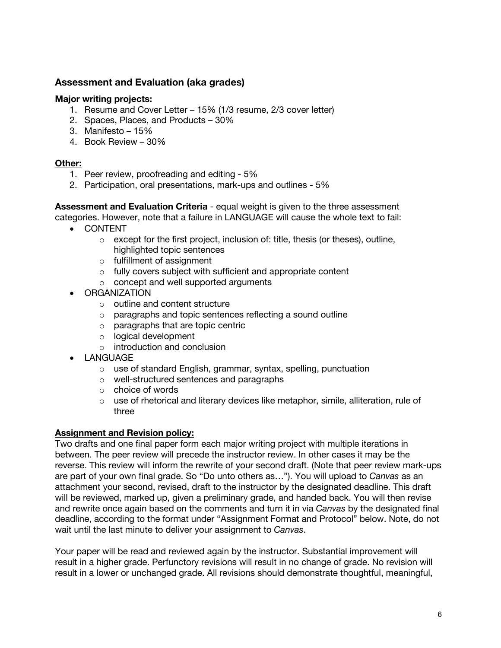### **Assessment and Evaluation (aka grades)**

### **Major writing projects:**

- 1. Resume and Cover Letter 15% (1/3 resume, 2/3 cover letter)
- 2. Spaces, Places, and Products 30%
- 3. Manifesto 15%
- 4. Book Review 30%

### **Other:**

- 1. Peer review, proofreading and editing 5%
- 2. Participation, oral presentations, mark-ups and outlines 5%

**Assessment and Evaluation Criteria** - equal weight is given to the three assessment categories. However, note that a failure in LANGUAGE will cause the whole text to fail:

- CONTENT
	- $\circ$  except for the first project, inclusion of: title, thesis (or theses), outline, highlighted topic sentences
	- o fulfillment of assignment
	- o fully covers subject with sufficient and appropriate content
	- o concept and well supported arguments
- ORGANIZATION
	- o outline and content structure
	- o paragraphs and topic sentences reflecting a sound outline
	- o paragraphs that are topic centric
	- o logical development
	- o introduction and conclusion
- LANGUAGE
	- o use of standard English, grammar, syntax, spelling, punctuation
	- o well-structured sentences and paragraphs
	- o choice of words
	- o use of rhetorical and literary devices like metaphor, simile, alliteration, rule of three

### **Assignment and Revision policy:**

Two drafts and one final paper form each major writing project with multiple iterations in between. The peer review will precede the instructor review. In other cases it may be the reverse. This review will inform the rewrite of your second draft. (Note that peer review mark-ups are part of your own final grade. So "Do unto others as…"). You will upload to *Canvas* as an attachment your second, revised, draft to the instructor by the designated deadline. This draft will be reviewed, marked up, given a preliminary grade, and handed back. You will then revise and rewrite once again based on the comments and turn it in via *Canvas* by the designated final deadline, according to the format under "Assignment Format and Protocol" below. Note, do not wait until the last minute to deliver your assignment to *Canvas*.

Your paper will be read and reviewed again by the instructor. Substantial improvement will result in a higher grade. Perfunctory revisions will result in no change of grade. No revision will result in a lower or unchanged grade. All revisions should demonstrate thoughtful, meaningful,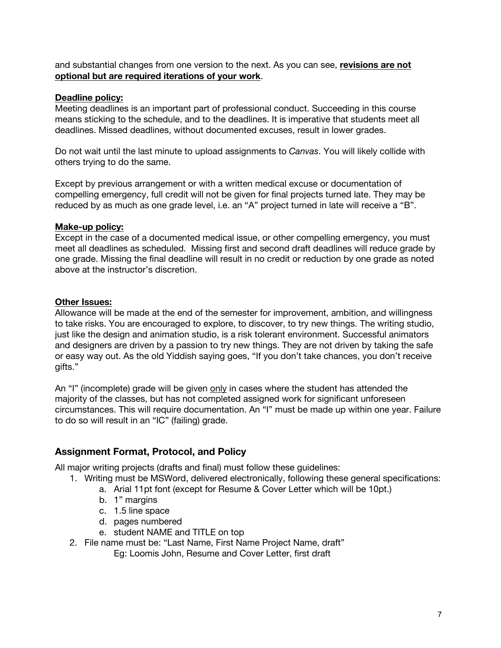and substantial changes from one version to the next. As you can see, **revisions are not optional but are required iterations of your work**.

#### **Deadline policy:**

Meeting deadlines is an important part of professional conduct. Succeeding in this course means sticking to the schedule, and to the deadlines. It is imperative that students meet all deadlines. Missed deadlines, without documented excuses, result in lower grades.

Do not wait until the last minute to upload assignments to *Canvas*. You will likely collide with others trying to do the same.

Except by previous arrangement or with a written medical excuse or documentation of compelling emergency, full credit will not be given for final projects turned late. They may be reduced by as much as one grade level, i.e. an "A" project turned in late will receive a "B".

### **Make-up policy:**

Except in the case of a documented medical issue, or other compelling emergency, you must meet all deadlines as scheduled. Missing first and second draft deadlines will reduce grade by one grade. Missing the final deadline will result in no credit or reduction by one grade as noted above at the instructor's discretion.

### **Other Issues:**

Allowance will be made at the end of the semester for improvement, ambition, and willingness to take risks. You are encouraged to explore, to discover, to try new things. The writing studio, just like the design and animation studio, is a risk tolerant environment. Successful animators and designers are driven by a passion to try new things. They are not driven by taking the safe or easy way out. As the old Yiddish saying goes, "If you don't take chances, you don't receive gifts."

An "I" (incomplete) grade will be given only in cases where the student has attended the majority of the classes, but has not completed assigned work for significant unforeseen circumstances. This will require documentation. An "I" must be made up within one year. Failure to do so will result in an "IC" (failing) grade.

### **Assignment Format, Protocol, and Policy**

All major writing projects (drafts and final) must follow these guidelines:

- 1. Writing must be MSWord, delivered electronically, following these general specifications:
	- a. Arial 11pt font (except for Resume & Cover Letter which will be 10pt.)
	- b. 1" margins
	- c. 1.5 line space
	- d. pages numbered
	- e. student NAME and TITLE on top
- 2. File name must be: "Last Name, First Name Project Name, draft"
	- Eg: Loomis John, Resume and Cover Letter, first draft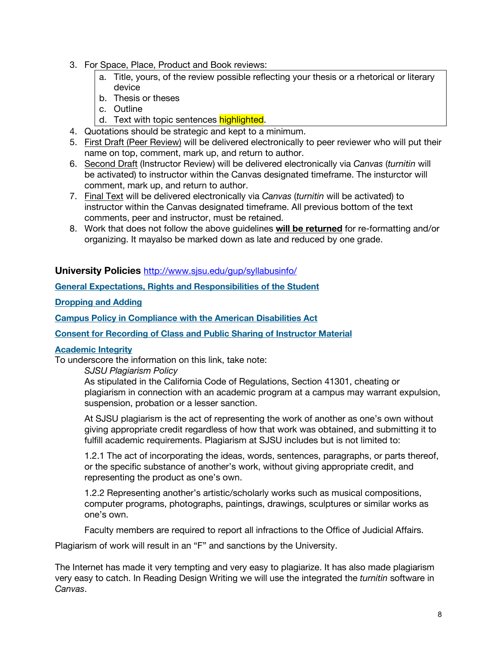- 3. For Space, Place, Product and Book reviews:
	- a. Title, yours, of the review possible reflecting your thesis or a rhetorical or literary device
	- b. Thesis or theses
	- c. Outline
	- d. Text with topic sentences highlighted.
- 4. Quotations should be strategic and kept to a minimum.
- 5. First Draft (Peer Review) will be delivered electronically to peer reviewer who will put their name on top, comment, mark up, and return to author.
- 6. Second Draft (Instructor Review) will be delivered electronically via *Canvas* (*turnitin* will be activated) to instructor within the Canvas designated timeframe. The insturctor will comment, mark up, and return to author.
- 7. Final Text will be delivered electronically via *Canvas* (*turnitin* will be activated) to instructor within the Canvas designated timeframe. All previous bottom of the text comments, peer and instructor, must be retained.
- 8. Work that does not follow the above guidelines **will be returned** for re-formatting and/or organizing. It mayalso be marked down as late and reduced by one grade.

#### **University Policies** http://www.sjsu.edu/gup/syllabusinfo/

**General Expectations, Rights and Responsibilities of the Student**

**Dropping and Adding**

**Campus Policy in Compliance with the American Disabilities Act**

**Consent for Recording of Class and Public Sharing of Instructor Material**

#### **Academic Integrity**

To underscore the information on this link, take note:

*SJSU Plagiarism Policy*

As stipulated in the California Code of Regulations, Section 41301, cheating or plagiarism in connection with an academic program at a campus may warrant expulsion, suspension, probation or a lesser sanction.

At SJSU plagiarism is the act of representing the work of another as one's own without giving appropriate credit regardless of how that work was obtained, and submitting it to fulfill academic requirements. Plagiarism at SJSU includes but is not limited to:

1.2.1 The act of incorporating the ideas, words, sentences, paragraphs, or parts thereof, or the specific substance of another's work, without giving appropriate credit, and representing the product as one's own.

1.2.2 Representing another's artistic/scholarly works such as musical compositions, computer programs, photographs, paintings, drawings, sculptures or similar works as one's own.

Faculty members are required to report all infractions to the Office of Judicial Affairs.

Plagiarism of work will result in an "F" and sanctions by the University.

The Internet has made it very tempting and very easy to plagiarize. It has also made plagiarism very easy to catch. In Reading Design Writing we will use the integrated the *turnitin* software in *Canvas*.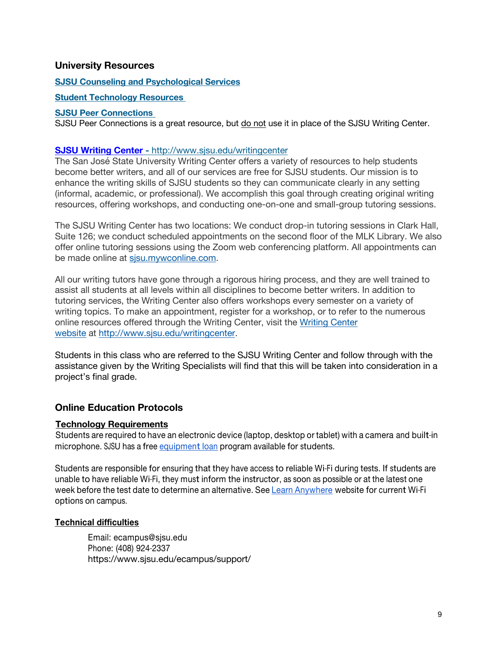### **University Resources**

#### **SJSU Counseling and Psychological Services**

#### **Student Technology Resources**

#### **SJSU Peer Connections**

SJSU Peer Connections is a great resource, but do not use it in place of the SJSU Writing Center.

#### **SJSU Writing Center -** http://www.sjsu.edu/writingcenter

The San José State University Writing Center offers a variety of resources to help students become better writers, and all of our services are free for SJSU students. Our mission is to enhance the writing skills of SJSU students so they can communicate clearly in any setting (informal, academic, or professional). We accomplish this goal through creating original writing resources, offering workshops, and conducting one-on-one and small-group tutoring sessions.

The SJSU Writing Center has two locations: We conduct drop-in tutoring sessions in Clark Hall, Suite 126; we conduct scheduled appointments on the second floor of the MLK Library. We also offer online tutoring sessions using the Zoom web conferencing platform. All appointments can be made online at sjsu.mywconline.com.

All our writing tutors have gone through a rigorous hiring process, and they are well trained to assist all students at all levels within all disciplines to become better writers. In addition to tutoring services, the Writing Center also offers workshops every semester on a variety of writing topics. To make an appointment, register for a workshop, or to refer to the numerous online resources offered through the Writing Center, visit the Writing Center website at http://www.sjsu.edu/writingcenter.

Students in this class who are referred to the SJSU Writing Center and follow through with the assistance given by the Writing Specialists will find that this will be taken into consideration in a project's final grade.

### **Online Education Protocols**

### **Technology Requirements**

Students are required to have an electronic device (laptop, desktop or tablet) with a camera and built-in microphone. SJSU has a free equipment loan program available for students.

Students are responsible for ensuring that they have access to reliable Wi-Fi during tests. If students are unable to have reliable Wi-Fi, they must inform the instructor, as soon as possible or at the latest one week before the test date to determine an alternative. See Learn Anywhere website for current Wi-Fi options on campus.

### **Technical difficulties**

Email: ecampus@sjsu.edu Phone: (408) 924-2337 https://www.sjsu.edu/ecampus/support/